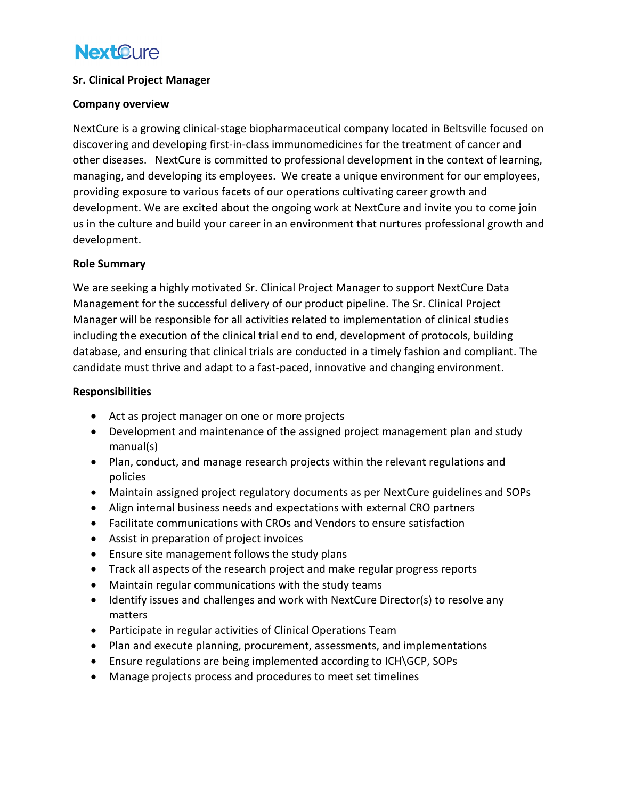# **NextOure**

## **Sr. Clinical Project Manager**

#### **Company overview**

NextCure is a growing clinical-stage biopharmaceutical company located in Beltsville focused on discovering and developing first-in-class immunomedicines for the treatment of cancer and other diseases. NextCure is committed to professional development in the context of learning, managing, and developing its employees. We create a unique environment for our employees, providing exposure to various facets of our operations cultivating career growth and development. We are excited about the ongoing work at NextCure and invite you to come join us in the culture and build your career in an environment that nurtures professional growth and development.

## **Role Summary**

We are seeking a highly motivated Sr. Clinical Project Manager to support NextCure Data Management for the successful delivery of our product pipeline. The Sr. Clinical Project Manager will be responsible for all activities related to implementation of clinical studies including the execution of the clinical trial end to end, development of protocols, building database, and ensuring that clinical trials are conducted in a timely fashion and compliant. The candidate must thrive and adapt to a fast-paced, innovative and changing environment.

## **Responsibilities**

- Act as project manager on one or more projects
- Development and maintenance of the assigned project management plan and study manual(s)
- Plan, conduct, and manage research projects within the relevant regulations and policies
- Maintain assigned project regulatory documents as per NextCure guidelines and SOPs
- Align internal business needs and expectations with external CRO partners
- Facilitate communications with CROs and Vendors to ensure satisfaction
- Assist in preparation of project invoices
- Ensure site management follows the study plans
- Track all aspects of the research project and make regular progress reports
- Maintain regular communications with the study teams
- Identify issues and challenges and work with NextCure Director(s) to resolve any matters
- Participate in regular activities of Clinical Operations Team
- Plan and execute planning, procurement, assessments, and implementations
- Ensure regulations are being implemented according to ICH\GCP, SOPs
- Manage projects process and procedures to meet set timelines